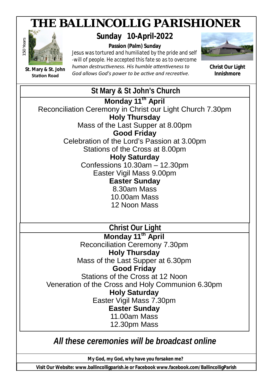# *THE BALLINCOLLIG PARISHIONER*



**St. Mary & St. John Station Road** 

**Sunday 10-April-2022**

**Passion (Palm) Sunday** *Jesus was tortured and humiliated by the pride and self -will of people. He accepted this fate so as to overcome human destrucƟveness. His humble aƩenƟveness to*  God allows God's power to be active and recreative.



**Christ Our Light Innishmore**

## **St Mary & St John's Church Monday 11th April** Reconciliation Ceremony in Christ our Light Church 7.30pm **Holy Thursday** Mass of the Last Supper at 8.00pm **Good Friday** Celebration of the Lord's Passion at 3.00pm Stations of the Cross at 8.00pm **Holy Saturday** Confessions 10.30am – 12.30pm Easter Vigil Mass 9.00pm **Easter Sunday** 8.30am Mass 10.00am Mass 12 Noon Mass  **Christ Our Light Monday 11th April** Reconciliation Ceremony 7.30pm **Holy Thursday** Mass of the Last Supper at 6.30pm **Good Friday** Stations of the Cross at 12 Noon Veneration of the Cross and Holy Communion 6.30pm **Holy Saturday** Easter Vigil Mass 7.30pm **Easter Sunday** 11.00am Mass 12.30pm Mass *All these ceremonies will be broadcast online*

*My God, my God, why have you forsaken me?*

**Fr. Alan O'Leary P.P. Visit Our Website: www.ballincolligparish.ie or Facebook www.facebook.com/BallincolligParish**